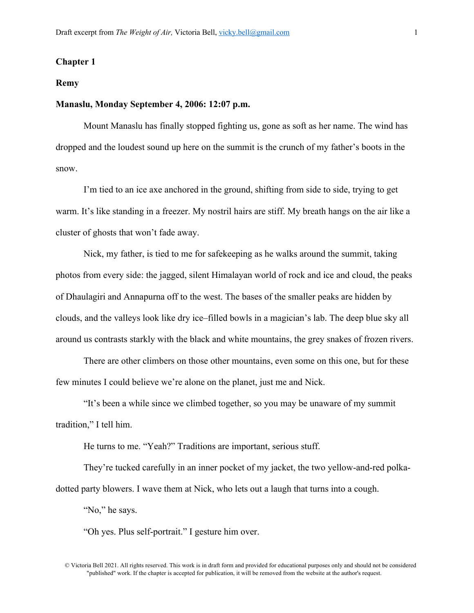# **Chapter 1**

#### **Remy**

### **Manaslu, Monday September 4, 2006: 12:07 p.m.**

Mount Manaslu has finally stopped fighting us, gone as soft as her name. The wind has dropped and the loudest sound up here on the summit is the crunch of my father's boots in the snow.

I'm tied to an ice axe anchored in the ground, shifting from side to side, trying to get warm. It's like standing in a freezer. My nostril hairs are stiff. My breath hangs on the air like a cluster of ghosts that won't fade away.

Nick, my father, is tied to me for safekeeping as he walks around the summit, taking photos from every side: the jagged, silent Himalayan world of rock and ice and cloud, the peaks of Dhaulagiri and Annapurna off to the west. The bases of the smaller peaks are hidden by clouds, and the valleys look like dry ice–filled bowls in a magician's lab. The deep blue sky all around us contrasts starkly with the black and white mountains, the grey snakes of frozen rivers.

There are other climbers on those other mountains, even some on this one, but for these few minutes I could believe we're alone on the planet, just me and Nick.

"It's been a while since we climbed together, so you may be unaware of my summit tradition," I tell him.

He turns to me. "Yeah?" Traditions are important, serious stuff.

They're tucked carefully in an inner pocket of my jacket, the two yellow-and-red polkadotted party blowers. I wave them at Nick, who lets out a laugh that turns into a cough.

"No," he says.

"Oh yes. Plus self-portrait." I gesture him over.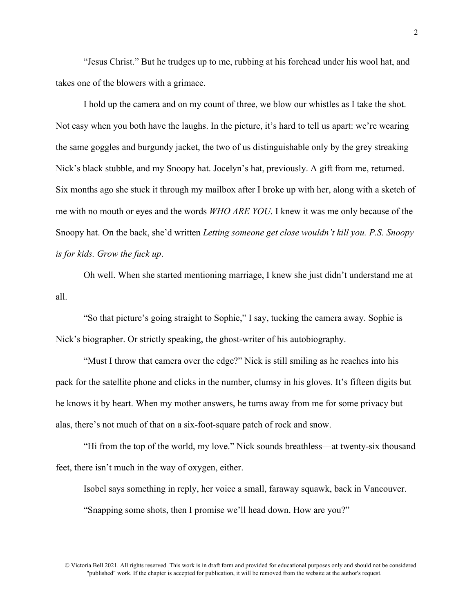"Jesus Christ." But he trudges up to me, rubbing at his forehead under his wool hat, and takes one of the blowers with a grimace.

I hold up the camera and on my count of three, we blow our whistles as I take the shot. Not easy when you both have the laughs. In the picture, it's hard to tell us apart: we're wearing the same goggles and burgundy jacket, the two of us distinguishable only by the grey streaking Nick's black stubble, and my Snoopy hat. Jocelyn's hat, previously. A gift from me, returned. Six months ago she stuck it through my mailbox after I broke up with her, along with a sketch of me with no mouth or eyes and the words *WHO ARE YOU*. I knew it was me only because of the Snoopy hat. On the back, she'd written *Letting someone get close wouldn't kill you. P.S. Snoopy is for kids. Grow the fuck up*.

Oh well. When she started mentioning marriage, I knew she just didn't understand me at all.

"So that picture's going straight to Sophie," I say, tucking the camera away. Sophie is Nick's biographer. Or strictly speaking, the ghost-writer of his autobiography.

"Must I throw that camera over the edge?" Nick is still smiling as he reaches into his pack for the satellite phone and clicks in the number, clumsy in his gloves. It's fifteen digits but he knows it by heart. When my mother answers, he turns away from me for some privacy but alas, there's not much of that on a six-foot-square patch of rock and snow.

"Hi from the top of the world, my love." Nick sounds breathless—at twenty-six thousand feet, there isn't much in the way of oxygen, either.

Isobel says something in reply, her voice a small, faraway squawk, back in Vancouver.

"Snapping some shots, then I promise we'll head down. How are you?"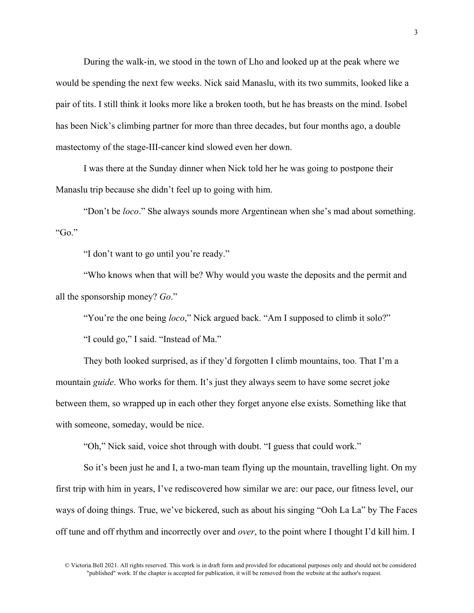During the walk-in, we stood in the town of Lho and looked up at the peak where we would be spending the next few weeks. Nick said Manaslu, with its two summits, looked like a pair of tits. I still think it looks more like a broken tooth, but he has breasts on the mind. Isobel has been Nick's climbing partner for more than three decades, but four months ago, a double mastectomy of the stage-III-cancer kind slowed even her down.

I was there at the Sunday dinner when Nick told her he was going to postpone their Manaslu trip because she didn't feel up to going with him.

"Don't be *loco*." She always sounds more Argentinean when she's mad about something. "Go."

"I don't want to go until you're ready."

"Who knows when that will be? Why would you waste the deposits and the permit and all the sponsorship money? *Go*."

"You're the one being *loco*," Nick argued back. "Am I supposed to climb it solo?"

"I could go," I said. "Instead of Ma."

They both looked surprised, as if they'd forgotten I climb mountains, too. That I'm a mountain *guide*. Who works for them. It's just they always seem to have some secret joke between them, so wrapped up in each other they forget anyone else exists. Something like that with someone, someday, would be nice.

"Oh," Nick said, voice shot through with doubt. "I guess that could work."

So it's been just he and I, a two-man team flying up the mountain, travelling light. On my first trip with him in years, I've rediscovered how similar we are: our pace, our fitness level, our ways of doing things. True, we've bickered, such as about his singing "Ooh La La" by The Faces off tune and off rhythm and incorrectly over and *over*, to the point where I thought I'd kill him. I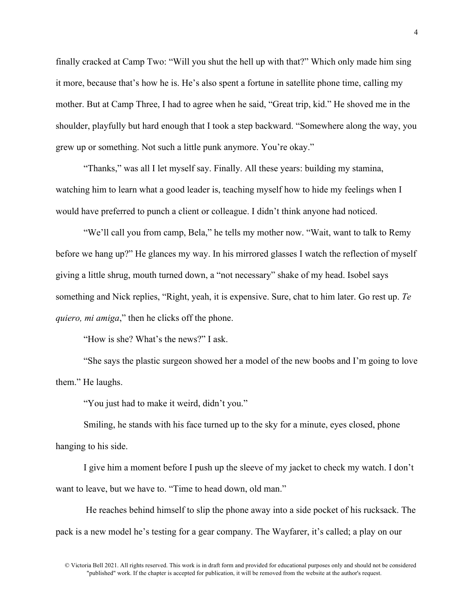finally cracked at Camp Two: "Will you shut the hell up with that?" Which only made him sing it more, because that's how he is. He's also spent a fortune in satellite phone time, calling my mother. But at Camp Three, I had to agree when he said, "Great trip, kid." He shoved me in the shoulder, playfully but hard enough that I took a step backward. "Somewhere along the way, you grew up or something. Not such a little punk anymore. You're okay."

"Thanks," was all I let myself say. Finally. All these years: building my stamina, watching him to learn what a good leader is, teaching myself how to hide my feelings when I would have preferred to punch a client or colleague. I didn't think anyone had noticed.

"We'll call you from camp, Bela," he tells my mother now. "Wait, want to talk to Remy before we hang up?" He glances my way. In his mirrored glasses I watch the reflection of myself giving a little shrug, mouth turned down, a "not necessary" shake of my head. Isobel says something and Nick replies, "Right, yeah, it is expensive. Sure, chat to him later. Go rest up. *Te quiero, mi amiga*," then he clicks off the phone.

"How is she? What's the news?" I ask.

"She says the plastic surgeon showed her a model of the new boobs and I'm going to love them." He laughs.

"You just had to make it weird, didn't you."

Smiling, he stands with his face turned up to the sky for a minute, eyes closed, phone hanging to his side.

I give him a moment before I push up the sleeve of my jacket to check my watch. I don't want to leave, but we have to. "Time to head down, old man."

He reaches behind himself to slip the phone away into a side pocket of his rucksack. The pack is a new model he's testing for a gear company. The Wayfarer, it's called; a play on our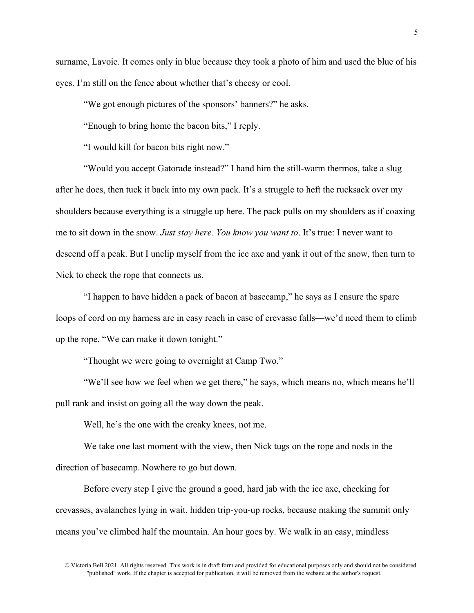surname, Lavoie. It comes only in blue because they took a photo of him and used the blue of his eyes. I'm still on the fence about whether that's cheesy or cool.

"We got enough pictures of the sponsors' banners?" he asks.

"Enough to bring home the bacon bits," I reply.

"I would kill for bacon bits right now."

"Would you accept Gatorade instead?" I hand him the still-warm thermos, take a slug after he does, then tuck it back into my own pack. It's a struggle to heft the rucksack over my shoulders because everything is a struggle up here. The pack pulls on my shoulders as if coaxing me to sit down in the snow. *Just stay here. You know you want to*. It's true: I never want to descend off a peak. But I unclip myself from the ice axe and yank it out of the snow, then turn to Nick to check the rope that connects us.

"I happen to have hidden a pack of bacon at basecamp," he says as I ensure the spare loops of cord on my harness are in easy reach in case of crevasse falls—we'd need them to climb up the rope. "We can make it down tonight."

"Thought we were going to overnight at Camp Two."

"We'll see how we feel when we get there," he says, which means no, which means he'll pull rank and insist on going all the way down the peak.

Well, he's the one with the creaky knees, not me.

We take one last moment with the view, then Nick tugs on the rope and nods in the direction of basecamp. Nowhere to go but down.

Before every step I give the ground a good, hard jab with the ice axe, checking for crevasses, avalanches lying in wait, hidden trip-you-up rocks, because making the summit only means you've climbed half the mountain. An hour goes by. We walk in an easy, mindless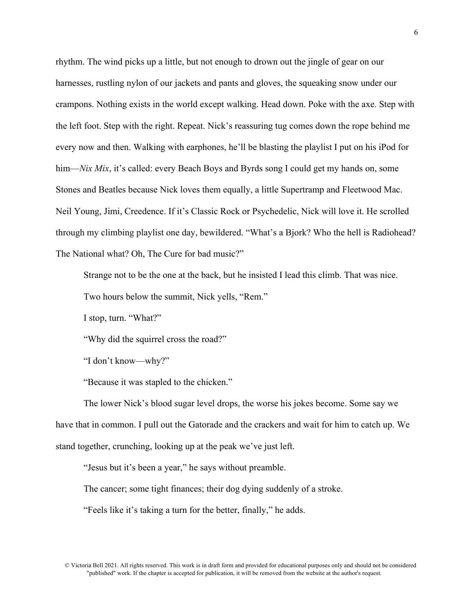rhythm. The wind picks up a little, but not enough to drown out the jingle of gear on our harnesses, rustling nylon of our jackets and pants and gloves, the squeaking snow under our crampons. Nothing exists in the world except walking. Head down. Poke with the axe. Step with the left foot. Step with the right. Repeat. Nick's reassuring tug comes down the rope behind me every now and then. Walking with earphones, he'll be blasting the playlist I put on his iPod for him—*Nix Mix*, it's called: every Beach Boys and Byrds song I could get my hands on, some Stones and Beatles because Nick loves them equally, a little Supertramp and Fleetwood Mac. Neil Young, Jimi, Creedence. If it's Classic Rock or Psychedelic, Nick will love it. He scrolled through my climbing playlist one day, bewildered. "What's a Bjork? Who the hell is Radiohead? The National what? Oh, The Cure for bad music?"

Strange not to be the one at the back, but he insisted I lead this climb. That was nice.

Two hours below the summit, Nick yells, "Rem."

I stop, turn. "What?"

"Why did the squirrel cross the road?"

"I don't know—why?"

"Because it was stapled to the chicken."

The lower Nick's blood sugar level drops, the worse his jokes become. Some say we have that in common. I pull out the Gatorade and the crackers and wait for him to catch up. We stand together, crunching, looking up at the peak we've just left.

"Jesus but it's been a year," he says without preamble.

The cancer; some tight finances; their dog dying suddenly of a stroke.

"Feels like it's taking a turn for the better, finally," he adds.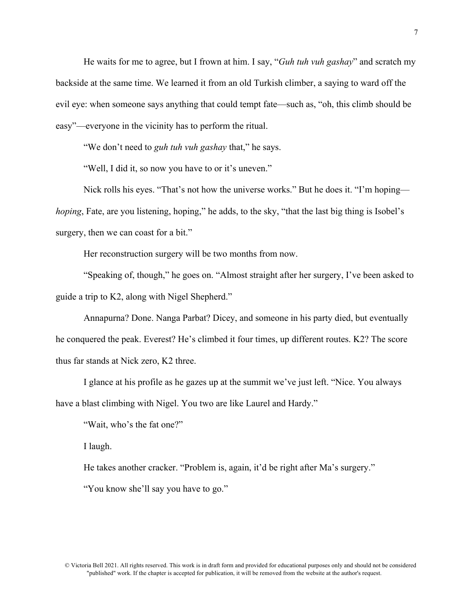He waits for me to agree, but I frown at him. I say, "*Guh tuh vuh gashay*" and scratch my backside at the same time. We learned it from an old Turkish climber, a saying to ward off the evil eye: when someone says anything that could tempt fate—such as, "oh, this climb should be easy"—everyone in the vicinity has to perform the ritual.

"We don't need to *guh tuh vuh gashay* that," he says.

"Well, I did it, so now you have to or it's uneven."

Nick rolls his eyes. "That's not how the universe works." But he does it. "I'm hoping *hoping*, Fate, are you listening, hoping," he adds, to the sky, "that the last big thing is Isobel's surgery, then we can coast for a bit."

Her reconstruction surgery will be two months from now.

"Speaking of, though," he goes on. "Almost straight after her surgery, I've been asked to guide a trip to K2, along with Nigel Shepherd."

Annapurna? Done. Nanga Parbat? Dicey, and someone in his party died, but eventually he conquered the peak. Everest? He's climbed it four times, up different routes. K2? The score thus far stands at Nick zero, K2 three.

I glance at his profile as he gazes up at the summit we've just left. "Nice. You always have a blast climbing with Nigel. You two are like Laurel and Hardy."

"Wait, who's the fat one?"

I laugh.

He takes another cracker. "Problem is, again, it'd be right after Ma's surgery."

"You know she'll say you have to go."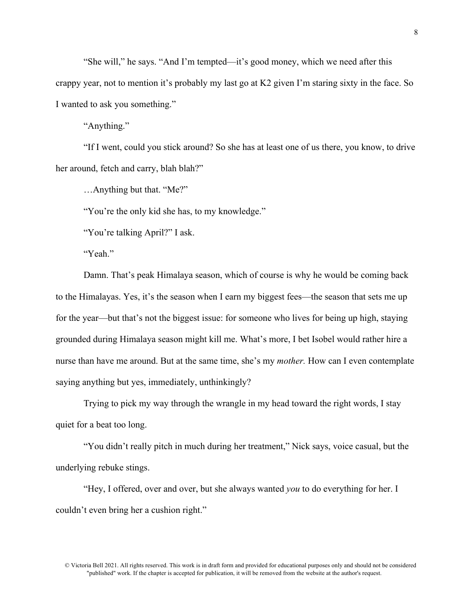"She will," he says. "And I'm tempted—it's good money, which we need after this crappy year, not to mention it's probably my last go at K2 given I'm staring sixty in the face. So I wanted to ask you something."

"Anything."

"If I went, could you stick around? So she has at least one of us there, you know, to drive her around, fetch and carry, blah blah?"

…Anything but that. "Me?"

"You're the only kid she has, to my knowledge."

"You're talking April?" I ask.

"Yeah."

Damn. That's peak Himalaya season, which of course is why he would be coming back to the Himalayas. Yes, it's the season when I earn my biggest fees—the season that sets me up for the year—but that's not the biggest issue: for someone who lives for being up high, staying grounded during Himalaya season might kill me. What's more, I bet Isobel would rather hire a nurse than have me around. But at the same time, she's my *mother.* How can I even contemplate saying anything but yes, immediately, unthinkingly?

Trying to pick my way through the wrangle in my head toward the right words, I stay quiet for a beat too long.

"You didn't really pitch in much during her treatment," Nick says, voice casual, but the underlying rebuke stings.

"Hey, I offered, over and over, but she always wanted *you* to do everything for her. I couldn't even bring her a cushion right."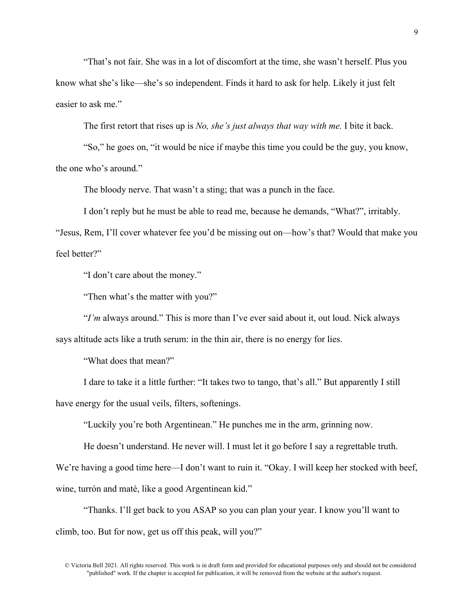"That's not fair. She was in a lot of discomfort at the time, she wasn't herself. Plus you know what she's like—she's so independent. Finds it hard to ask for help. Likely it just felt easier to ask me."

The first retort that rises up is *No, she's just always that way with me.* I bite it back.

"So," he goes on, "it would be nice if maybe this time you could be the guy, you know, the one who's around."

The bloody nerve. That wasn't a sting; that was a punch in the face.

I don't reply but he must be able to read me, because he demands, "What?", irritably.

"Jesus, Rem, I'll cover whatever fee you'd be missing out on—how's that? Would that make you feel better?"

"I don't care about the money."

"Then what's the matter with you?"

"*I'm* always around." This is more than I've ever said about it, out loud. Nick always says altitude acts like a truth serum: in the thin air, there is no energy for lies.

"What does that mean?"

I dare to take it a little further: "It takes two to tango, that's all." But apparently I still have energy for the usual veils, filters, softenings.

"Luckily you're both Argentinean." He punches me in the arm, grinning now.

He doesn't understand. He never will. I must let it go before I say a regrettable truth.

We're having a good time here—I don't want to ruin it. "Okay. I will keep her stocked with beef, wine, turrón and maté, like a good Argentinean kid."

"Thanks. I'll get back to you ASAP so you can plan your year. I know you'll want to climb, too. But for now, get us off this peak, will you?"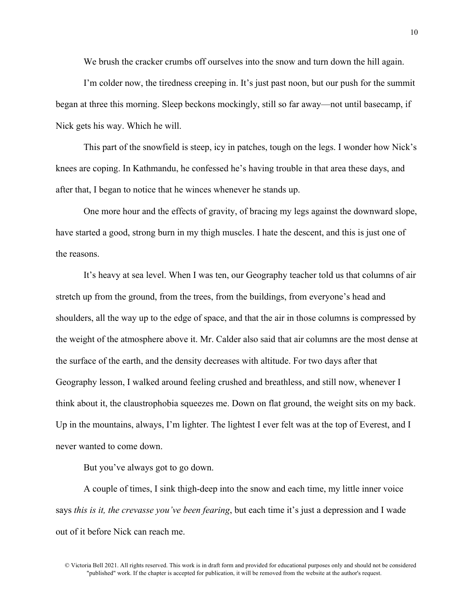We brush the cracker crumbs off ourselves into the snow and turn down the hill again.

I'm colder now, the tiredness creeping in. It's just past noon, but our push for the summit began at three this morning. Sleep beckons mockingly, still so far away—not until basecamp, if Nick gets his way. Which he will.

This part of the snowfield is steep, icy in patches, tough on the legs. I wonder how Nick's knees are coping. In Kathmandu, he confessed he's having trouble in that area these days, and after that, I began to notice that he winces whenever he stands up.

One more hour and the effects of gravity, of bracing my legs against the downward slope, have started a good, strong burn in my thigh muscles. I hate the descent, and this is just one of the reasons.

It's heavy at sea level. When I was ten, our Geography teacher told us that columns of air stretch up from the ground, from the trees, from the buildings, from everyone's head and shoulders, all the way up to the edge of space, and that the air in those columns is compressed by the weight of the atmosphere above it. Mr. Calder also said that air columns are the most dense at the surface of the earth, and the density decreases with altitude. For two days after that Geography lesson, I walked around feeling crushed and breathless, and still now, whenever I think about it, the claustrophobia squeezes me. Down on flat ground, the weight sits on my back. Up in the mountains, always, I'm lighter. The lightest I ever felt was at the top of Everest, and I never wanted to come down.

But you've always got to go down.

A couple of times, I sink thigh-deep into the snow and each time, my little inner voice says *this is it, the crevasse you've been fearing*, but each time it's just a depression and I wade out of it before Nick can reach me.

<sup>©</sup> Victoria Bell 2021. All rights reserved. This work is in draft form and provided for educational purposes only and should not be considered "published" work. If the chapter is accepted for publication, it will be removed from the website at the author's request.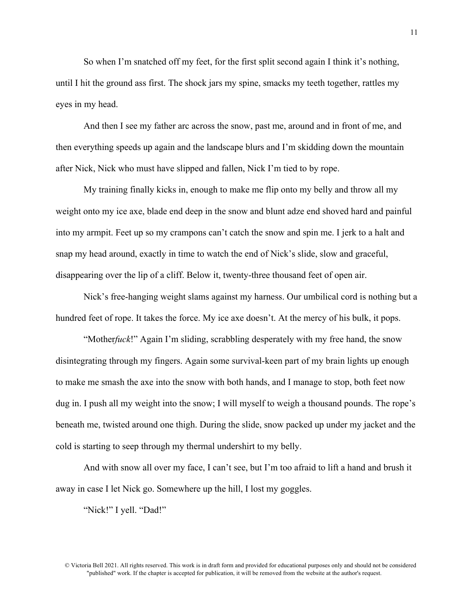So when I'm snatched off my feet, for the first split second again I think it's nothing, until I hit the ground ass first. The shock jars my spine, smacks my teeth together, rattles my eyes in my head.

And then I see my father arc across the snow, past me, around and in front of me, and then everything speeds up again and the landscape blurs and I'm skidding down the mountain after Nick, Nick who must have slipped and fallen, Nick I'm tied to by rope.

My training finally kicks in, enough to make me flip onto my belly and throw all my weight onto my ice axe, blade end deep in the snow and blunt adze end shoved hard and painful into my armpit. Feet up so my crampons can't catch the snow and spin me. I jerk to a halt and snap my head around, exactly in time to watch the end of Nick's slide, slow and graceful, disappearing over the lip of a cliff. Below it, twenty-three thousand feet of open air.

Nick's free-hanging weight slams against my harness. Our umbilical cord is nothing but a hundred feet of rope. It takes the force. My ice axe doesn't. At the mercy of his bulk, it pops.

"Mother*fuck*!" Again I'm sliding, scrabbling desperately with my free hand, the snow disintegrating through my fingers. Again some survival-keen part of my brain lights up enough to make me smash the axe into the snow with both hands, and I manage to stop, both feet now dug in. I push all my weight into the snow; I will myself to weigh a thousand pounds. The rope's beneath me, twisted around one thigh. During the slide, snow packed up under my jacket and the cold is starting to seep through my thermal undershirt to my belly.

And with snow all over my face, I can't see, but I'm too afraid to lift a hand and brush it away in case I let Nick go. Somewhere up the hill, I lost my goggles.

"Nick!" I yell. "Dad!"

<sup>©</sup> Victoria Bell 2021. All rights reserved. This work is in draft form and provided for educational purposes only and should not be considered "published" work. If the chapter is accepted for publication, it will be removed from the website at the author's request.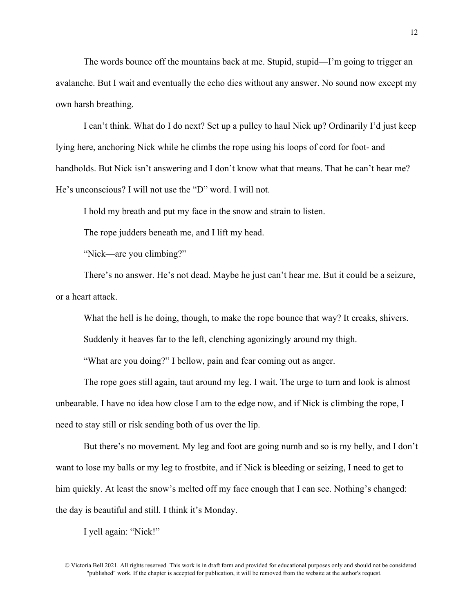The words bounce off the mountains back at me. Stupid, stupid—I'm going to trigger an avalanche. But I wait and eventually the echo dies without any answer. No sound now except my own harsh breathing.

I can't think. What do I do next? Set up a pulley to haul Nick up? Ordinarily I'd just keep lying here, anchoring Nick while he climbs the rope using his loops of cord for foot- and handholds. But Nick isn't answering and I don't know what that means. That he can't hear me? He's unconscious? I will not use the "D" word. I will not.

I hold my breath and put my face in the snow and strain to listen.

The rope judders beneath me, and I lift my head.

"Nick—are you climbing?"

There's no answer. He's not dead. Maybe he just can't hear me. But it could be a seizure, or a heart attack.

What the hell is he doing, though, to make the rope bounce that way? It creaks, shivers.

Suddenly it heaves far to the left, clenching agonizingly around my thigh.

"What are you doing?" I bellow, pain and fear coming out as anger.

The rope goes still again, taut around my leg. I wait. The urge to turn and look is almost unbearable. I have no idea how close I am to the edge now, and if Nick is climbing the rope, I need to stay still or risk sending both of us over the lip.

But there's no movement. My leg and foot are going numb and so is my belly, and I don't want to lose my balls or my leg to frostbite, and if Nick is bleeding or seizing, I need to get to him quickly. At least the snow's melted off my face enough that I can see. Nothing's changed: the day is beautiful and still. I think it's Monday.

I yell again: "Nick!"

<sup>©</sup> Victoria Bell 2021. All rights reserved. This work is in draft form and provided for educational purposes only and should not be considered "published" work. If the chapter is accepted for publication, it will be removed from the website at the author's request.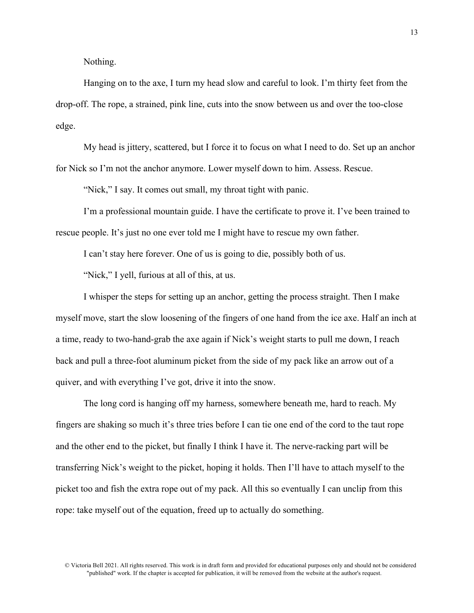Nothing.

Hanging on to the axe, I turn my head slow and careful to look. I'm thirty feet from the drop-off. The rope, a strained, pink line, cuts into the snow between us and over the too-close edge.

My head is jittery, scattered, but I force it to focus on what I need to do. Set up an anchor for Nick so I'm not the anchor anymore. Lower myself down to him. Assess. Rescue.

"Nick," I say. It comes out small, my throat tight with panic.

I'm a professional mountain guide. I have the certificate to prove it. I've been trained to rescue people. It's just no one ever told me I might have to rescue my own father.

I can't stay here forever. One of us is going to die, possibly both of us.

"Nick," I yell, furious at all of this, at us.

I whisper the steps for setting up an anchor, getting the process straight. Then I make myself move, start the slow loosening of the fingers of one hand from the ice axe. Half an inch at a time, ready to two-hand-grab the axe again if Nick's weight starts to pull me down, I reach back and pull a three-foot aluminum picket from the side of my pack like an arrow out of a quiver, and with everything I've got, drive it into the snow.

The long cord is hanging off my harness, somewhere beneath me, hard to reach. My fingers are shaking so much it's three tries before I can tie one end of the cord to the taut rope and the other end to the picket, but finally I think I have it. The nerve-racking part will be transferring Nick's weight to the picket, hoping it holds. Then I'll have to attach myself to the picket too and fish the extra rope out of my pack. All this so eventually I can unclip from this rope: take myself out of the equation, freed up to actually do something.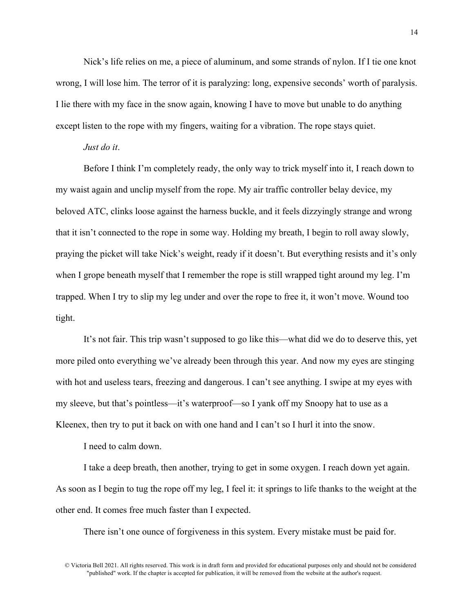Nick's life relies on me, a piece of aluminum, and some strands of nylon. If I tie one knot wrong, I will lose him. The terror of it is paralyzing: long, expensive seconds' worth of paralysis. I lie there with my face in the snow again, knowing I have to move but unable to do anything except listen to the rope with my fingers, waiting for a vibration. The rope stays quiet.

### *Just do it*.

Before I think I'm completely ready, the only way to trick myself into it, I reach down to my waist again and unclip myself from the rope. My air traffic controller belay device, my beloved ATC, clinks loose against the harness buckle, and it feels dizzyingly strange and wrong that it isn't connected to the rope in some way. Holding my breath, I begin to roll away slowly, praying the picket will take Nick's weight, ready if it doesn't. But everything resists and it's only when I grope beneath myself that I remember the rope is still wrapped tight around my leg. I'm trapped. When I try to slip my leg under and over the rope to free it, it won't move. Wound too tight.

It's not fair. This trip wasn't supposed to go like this—what did we do to deserve this, yet more piled onto everything we've already been through this year. And now my eyes are stinging with hot and useless tears, freezing and dangerous. I can't see anything. I swipe at my eyes with my sleeve, but that's pointless—it's waterproof—so I yank off my Snoopy hat to use as a Kleenex, then try to put it back on with one hand and I can't so I hurl it into the snow.

I need to calm down.

I take a deep breath, then another, trying to get in some oxygen. I reach down yet again. As soon as I begin to tug the rope off my leg, I feel it: it springs to life thanks to the weight at the other end. It comes free much faster than I expected.

There isn't one ounce of forgiveness in this system. Every mistake must be paid for.

<sup>©</sup> Victoria Bell 2021. All rights reserved. This work is in draft form and provided for educational purposes only and should not be considered "published" work. If the chapter is accepted for publication, it will be removed from the website at the author's request.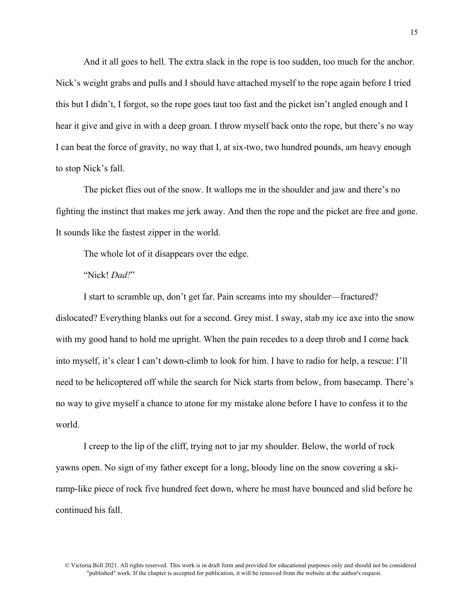And it all goes to hell. The extra slack in the rope is too sudden, too much for the anchor. Nick's weight grabs and pulls and I should have attached myself to the rope again before I tried this but I didn't, I forgot, so the rope goes taut too fast and the picket isn't angled enough and I hear it give and give in with a deep groan. I throw myself back onto the rope, but there's no way I can beat the force of gravity, no way that I, at six-two, two hundred pounds, am heavy enough to stop Nick's fall.

The picket flies out of the snow. It wallops me in the shoulder and jaw and there's no fighting the instinct that makes me jerk away. And then the rope and the picket are free and gone. It sounds like the fastest zipper in the world.

The whole lot of it disappears over the edge.

# "Nick! *Dad!*"

I start to scramble up, don't get far. Pain screams into my shoulder—fractured? dislocated? Everything blanks out for a second. Grey mist. I sway, stab my ice axe into the snow with my good hand to hold me upright. When the pain recedes to a deep throb and I come back into myself, it's clear I can't down-climb to look for him. I have to radio for help, a rescue: I'll need to be helicoptered off while the search for Nick starts from below, from basecamp. There's no way to give myself a chance to atone for my mistake alone before I have to confess it to the world.

I creep to the lip of the cliff, trying not to jar my shoulder. Below, the world of rock yawns open. No sign of my father except for a long, bloody line on the snow covering a skiramp-like piece of rock five hundred feet down, where he must have bounced and slid before he continued his fall.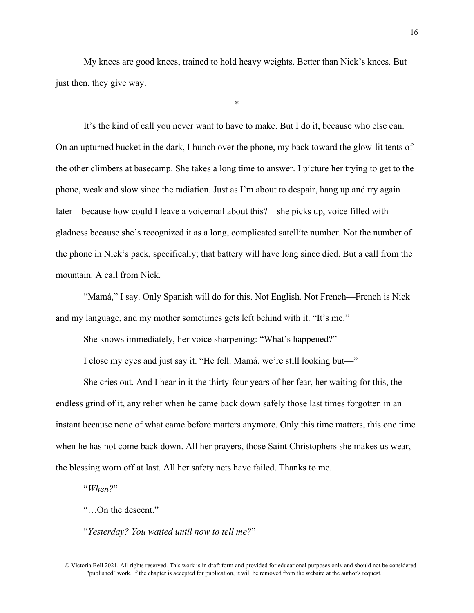My knees are good knees, trained to hold heavy weights. Better than Nick's knees. But just then, they give way.

\*

It's the kind of call you never want to have to make. But I do it, because who else can. On an upturned bucket in the dark, I hunch over the phone, my back toward the glow-lit tents of the other climbers at basecamp. She takes a long time to answer. I picture her trying to get to the phone, weak and slow since the radiation. Just as I'm about to despair, hang up and try again later—because how could I leave a voicemail about this?—she picks up, voice filled with gladness because she's recognized it as a long, complicated satellite number. Not the number of the phone in Nick's pack, specifically; that battery will have long since died. But a call from the mountain. A call from Nick.

"Mamá," I say. Only Spanish will do for this. Not English. Not French—French is Nick and my language, and my mother sometimes gets left behind with it. "It's me."

She knows immediately, her voice sharpening: "What's happened?"

I close my eyes and just say it. "He fell. Mamá, we're still looking but—"

She cries out. And I hear in it the thirty-four years of her fear, her waiting for this, the endless grind of it, any relief when he came back down safely those last times forgotten in an instant because none of what came before matters anymore. Only this time matters, this one time when he has not come back down. All her prayers, those Saint Christophers she makes us wear, the blessing worn off at last. All her safety nets have failed. Thanks to me.

"*When?*"

"…On the descent."

"*Yesterday? You waited until now to tell me?*"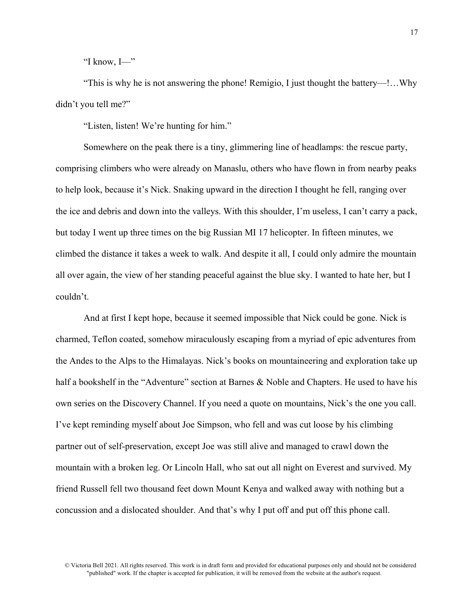"I know, I—"

"This is why he is not answering the phone! Remigio, I just thought the battery—!…Why didn't you tell me?"

"Listen, listen! We're hunting for him."

Somewhere on the peak there is a tiny, glimmering line of headlamps: the rescue party, comprising climbers who were already on Manaslu, others who have flown in from nearby peaks to help look, because it's Nick. Snaking upward in the direction I thought he fell, ranging over the ice and debris and down into the valleys. With this shoulder, I'm useless, I can't carry a pack, but today I went up three times on the big Russian MI 17 helicopter. In fifteen minutes, we climbed the distance it takes a week to walk. And despite it all, I could only admire the mountain all over again, the view of her standing peaceful against the blue sky. I wanted to hate her, but I couldn't.

And at first I kept hope, because it seemed impossible that Nick could be gone. Nick is charmed, Teflon coated, somehow miraculously escaping from a myriad of epic adventures from the Andes to the Alps to the Himalayas. Nick's books on mountaineering and exploration take up half a bookshelf in the "Adventure" section at Barnes & Noble and Chapters. He used to have his own series on the Discovery Channel. If you need a quote on mountains, Nick's the one you call. I've kept reminding myself about Joe Simpson, who fell and was cut loose by his climbing partner out of self-preservation, except Joe was still alive and managed to crawl down the mountain with a broken leg. Or Lincoln Hall, who sat out all night on Everest and survived. My friend Russell fell two thousand feet down Mount Kenya and walked away with nothing but a concussion and a dislocated shoulder. And that's why I put off and put off this phone call.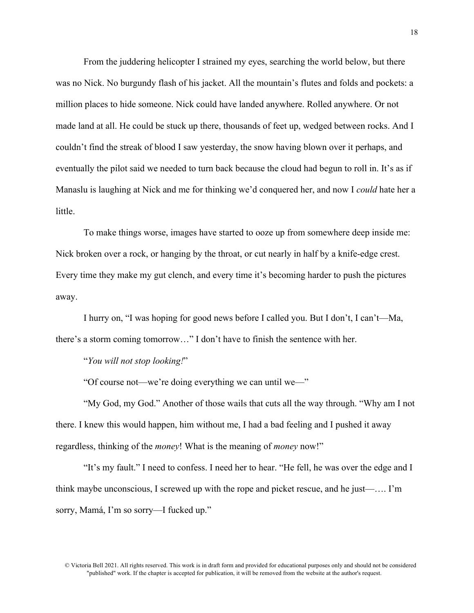From the juddering helicopter I strained my eyes, searching the world below, but there was no Nick. No burgundy flash of his jacket. All the mountain's flutes and folds and pockets: a million places to hide someone. Nick could have landed anywhere. Rolled anywhere. Or not made land at all. He could be stuck up there, thousands of feet up, wedged between rocks. And I couldn't find the streak of blood I saw yesterday, the snow having blown over it perhaps, and eventually the pilot said we needed to turn back because the cloud had begun to roll in. It's as if Manaslu is laughing at Nick and me for thinking we'd conquered her, and now I *could* hate her a little.

To make things worse, images have started to ooze up from somewhere deep inside me: Nick broken over a rock, or hanging by the throat, or cut nearly in half by a knife-edge crest. Every time they make my gut clench, and every time it's becoming harder to push the pictures away.

I hurry on, "I was hoping for good news before I called you. But I don't, I can't—Ma, there's a storm coming tomorrow…" I don't have to finish the sentence with her.

"*You will not stop looking!*"

"Of course not—we're doing everything we can until we—"

"My God, my God." Another of those wails that cuts all the way through. "Why am I not there. I knew this would happen, him without me, I had a bad feeling and I pushed it away regardless, thinking of the *money*! What is the meaning of *money* now!"

"It's my fault." I need to confess. I need her to hear. "He fell, he was over the edge and I think maybe unconscious, I screwed up with the rope and picket rescue, and he just—…. I'm sorry, Mamá, I'm so sorry—I fucked up."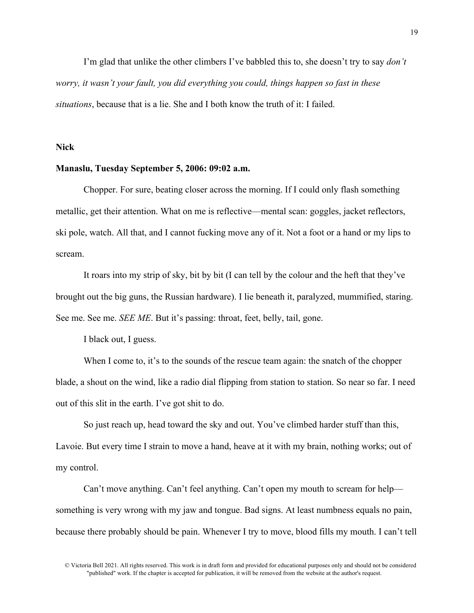I'm glad that unlike the other climbers I've babbled this to, she doesn't try to say *don't worry, it wasn't your fault, you did everything you could, things happen so fast in these situations*, because that is a lie. She and I both know the truth of it: I failed.

**Nick**

# **Manaslu, Tuesday September 5, 2006: 09:02 a.m.**

Chopper. For sure, beating closer across the morning. If I could only flash something metallic, get their attention. What on me is reflective—mental scan: goggles, jacket reflectors, ski pole, watch. All that, and I cannot fucking move any of it. Not a foot or a hand or my lips to scream.

It roars into my strip of sky, bit by bit (I can tell by the colour and the heft that they've brought out the big guns, the Russian hardware). I lie beneath it, paralyzed, mummified, staring. See me. See me. *SEE ME*. But it's passing: throat, feet, belly, tail, gone.

I black out, I guess.

When I come to, it's to the sounds of the rescue team again: the snatch of the chopper blade, a shout on the wind, like a radio dial flipping from station to station. So near so far. I need out of this slit in the earth. I've got shit to do.

So just reach up, head toward the sky and out. You've climbed harder stuff than this, Lavoie. But every time I strain to move a hand, heave at it with my brain, nothing works; out of my control.

Can't move anything. Can't feel anything. Can't open my mouth to scream for help something is very wrong with my jaw and tongue. Bad signs. At least numbness equals no pain, because there probably should be pain. Whenever I try to move, blood fills my mouth. I can't tell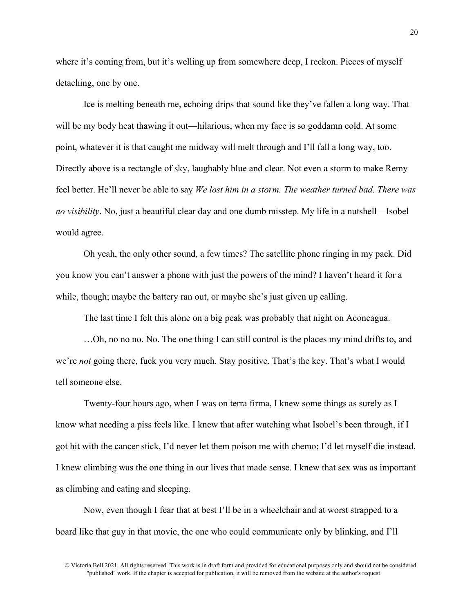where it's coming from, but it's welling up from somewhere deep, I reckon. Pieces of myself detaching, one by one.

Ice is melting beneath me, echoing drips that sound like they've fallen a long way. That will be my body heat thawing it out—hilarious, when my face is so goddamn cold. At some point, whatever it is that caught me midway will melt through and I'll fall a long way, too. Directly above is a rectangle of sky, laughably blue and clear. Not even a storm to make Remy feel better. He'll never be able to say *We lost him in a storm. The weather turned bad. There was no visibility*. No, just a beautiful clear day and one dumb misstep. My life in a nutshell—Isobel would agree.

Oh yeah, the only other sound, a few times? The satellite phone ringing in my pack. Did you know you can't answer a phone with just the powers of the mind? I haven't heard it for a while, though; maybe the battery ran out, or maybe she's just given up calling.

The last time I felt this alone on a big peak was probably that night on Aconcagua.

…Oh, no no no. No. The one thing I can still control is the places my mind drifts to, and we're *not* going there, fuck you very much. Stay positive. That's the key. That's what I would tell someone else.

Twenty-four hours ago, when I was on terra firma, I knew some things as surely as I know what needing a piss feels like. I knew that after watching what Isobel's been through, if I got hit with the cancer stick, I'd never let them poison me with chemo; I'd let myself die instead. I knew climbing was the one thing in our lives that made sense. I knew that sex was as important as climbing and eating and sleeping.

Now, even though I fear that at best I'll be in a wheelchair and at worst strapped to a board like that guy in that movie, the one who could communicate only by blinking, and I'll